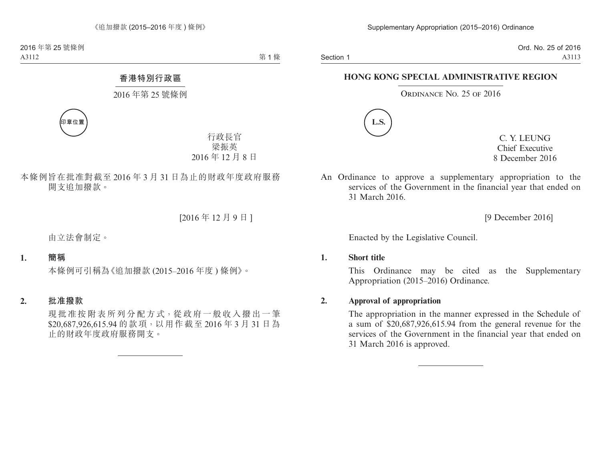Section 1

Ord. No. 25 of 2016 A3113

### **HONG KONG SPECIAL ADMINISTRATIVE REGION**

### ORDINANCE NO. 25 OF 2016



C. Y. LEUNG Chief Executive 8 December 2016

An Ordinance to approve a supplementary appropriation to the services of the Government in the financial year that ended on 31 March 2016.

[9 December 2016]

Enacted by the Legislative Council.

#### **1. Short title**

This Ordinance may be cited as the Supplementary Appropriation (2015–2016) Ordinance.

### **2. Approval of appropriation**

The appropriation in the manner expressed in the Schedule of a sum of \$20,687,926,615.94 from the general revenue for the services of the Government in the financial year that ended on 31 March 2016 is approved.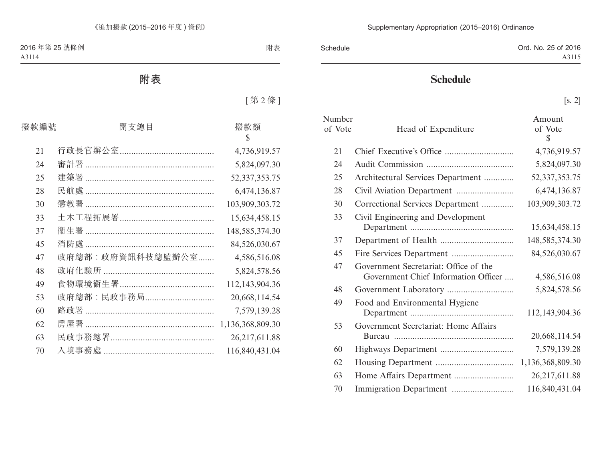| Schedule | Ord. No. 25 of 2016 |
|----------|---------------------|
|          | A3115               |

# **Schedule**

[s. 2]

| Number<br>of Vote | Head of Expenditure                                                           | Amount<br>of Vote<br>\$ |
|-------------------|-------------------------------------------------------------------------------|-------------------------|
| 21                |                                                                               | 4,736,919.57            |
| 24                |                                                                               | 5,824,097.30            |
| 25                | Architectural Services Department                                             | 52, 337, 353. 75        |
| 28                |                                                                               | 6,474,136.87            |
| 30                | Correctional Services Department                                              | 103,909,303.72          |
| 33                | Civil Engineering and Development                                             | 15,634,458.15           |
| 37                |                                                                               | 148,585,374.30          |
| 45                |                                                                               | 84,526,030.67           |
| 47                | Government Secretariat: Office of the<br>Government Chief Information Officer | 4,586,516.08            |
| 48                |                                                                               | 5,824,578.56            |
| 49                | Food and Environmental Hygiene                                                | 112,143,904.36          |
| 53                | Government Secretariat: Home Affairs                                          | 20,668,114.54           |
| 60                |                                                                               | 7,579,139.28            |
| 62                |                                                                               | 1,136,368,809.30        |
| 63                |                                                                               | 26, 217, 611.88         |
| 70                |                                                                               | 116,840,431.04          |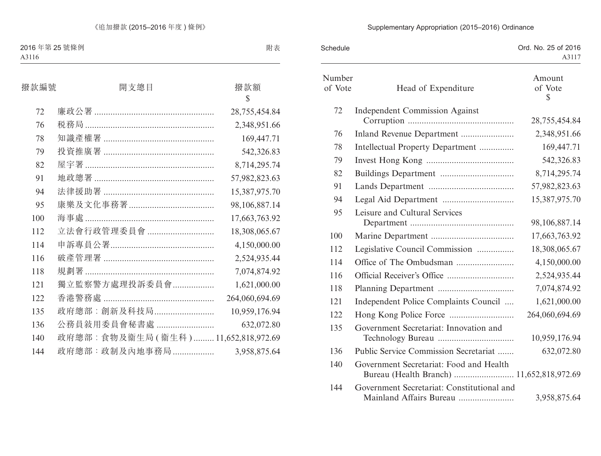# Supplementary Appropriation (2015–2016) Ordinance

| Schedule          |                                                                                      | Ord. No. 25 of 2016<br>A3117 |
|-------------------|--------------------------------------------------------------------------------------|------------------------------|
| Number<br>of Vote | Head of Expenditure                                                                  | Amount<br>of Vote<br>S       |
| 72                | <b>Independent Commission Against</b>                                                | 28,755,454.84                |
| 76                |                                                                                      | 2,348,951.66                 |
| 78                | Intellectual Property Department                                                     | 169,447.71                   |
| 79                |                                                                                      | 542,326.83                   |
| 82                |                                                                                      | 8,714,295.74                 |
| 91                |                                                                                      | 57,982,823.63                |
| 94                |                                                                                      | 15,387,975.70                |
| 95                | Leisure and Cultural Services                                                        | 98,106,887.14                |
| 100               |                                                                                      | 17,663,763.92                |
| 112               | Legislative Council Commission                                                       | 18,308,065.67                |
| 114               |                                                                                      | 4,150,000.00                 |
| 116               |                                                                                      | 2,524,935.44                 |
| 118               |                                                                                      | 7,074,874.92                 |
| 121               | Independent Police Complaints Council                                                | 1,621,000.00                 |
| 122               |                                                                                      | 264,060,694.69               |
| 135               | Government Secretariat: Innovation and                                               | 10,959,176.94                |
| 136               | Public Service Commission Secretariat                                                | 632,072.80                   |
| 140               | Government Secretariat: Food and Health<br>Bureau (Health Branch)  11,652,818,972.69 |                              |
| 144               | Government Secretariat: Constitutional and<br>Mainland Affairs Bureau                | 3,958,875.64                 |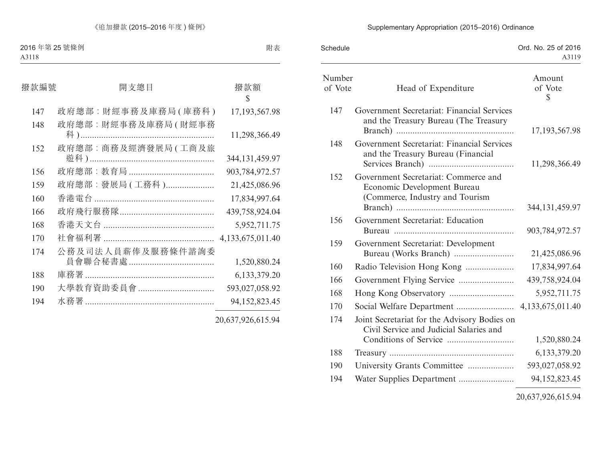# Supplementary Appropriation (2015–2016) Ordinance

| Schedule          |                                                                                                        | Ord. No. 25 of 2016<br>A3119      |
|-------------------|--------------------------------------------------------------------------------------------------------|-----------------------------------|
| Number<br>of Vote | Head of Expenditure                                                                                    | Amount<br>of Vote<br>$\mathbb{S}$ |
| 147               | Government Secretariat: Financial Services<br>and the Treasury Bureau (The Treasury                    | 17, 193, 567. 98                  |
| 148               | Government Secretariat: Financial Services<br>and the Treasury Bureau (Financial                       | 11,298,366.49                     |
| 152               | Government Secretariat: Commerce and<br>Economic Development Bureau<br>(Commerce, Industry and Tourism | 344, 131, 459. 97                 |
| 156               | Government Secretariat: Education                                                                      | 903,784,972.57                    |
| 159               | Government Secretariat: Development                                                                    | 21,425,086.96                     |
| 160               |                                                                                                        | 17,834,997.64                     |
| 166               |                                                                                                        | 439,758,924.04                    |
| 168               |                                                                                                        | 5,952,711.75                      |
| 170               |                                                                                                        | 4,133,675,011.40                  |
| 174               | Joint Secretariat for the Advisory Bodies on<br>Civil Service and Judicial Salaries and                | 1,520,880.24                      |
| 188               |                                                                                                        | 6,133,379.20                      |
| 190               | University Grants Committee                                                                            | 593,027,058.92                    |
| 194               |                                                                                                        | 94,152,823.45                     |
|                   |                                                                                                        |                                   |

20,637,926,615.94